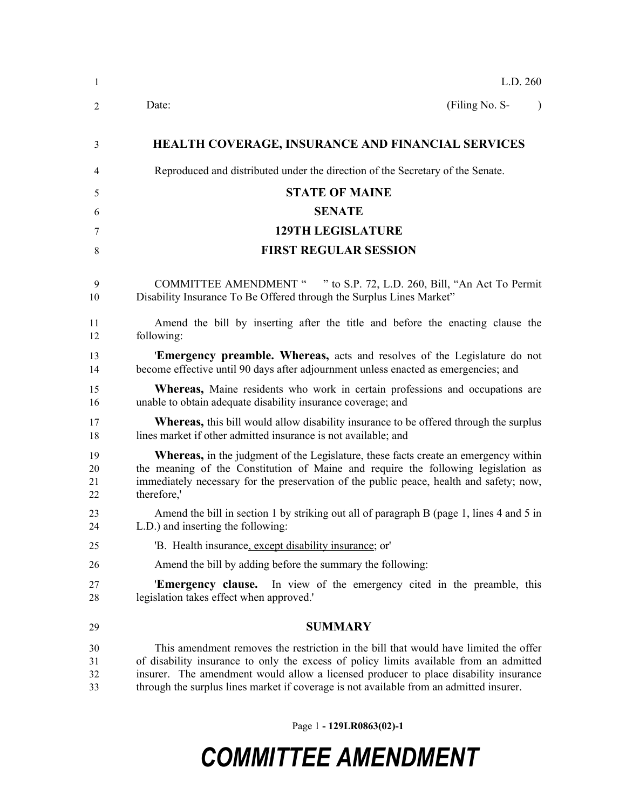| -1                   | L.D. 260                                                                                                                                                                                                                                                                                                                                                          |
|----------------------|-------------------------------------------------------------------------------------------------------------------------------------------------------------------------------------------------------------------------------------------------------------------------------------------------------------------------------------------------------------------|
| 2                    | (Filing No. S-<br>Date:                                                                                                                                                                                                                                                                                                                                           |
| 3                    | <b>HEALTH COVERAGE, INSURANCE AND FINANCIAL SERVICES</b>                                                                                                                                                                                                                                                                                                          |
| 4                    | Reproduced and distributed under the direction of the Secretary of the Senate.                                                                                                                                                                                                                                                                                    |
| 5                    | <b>STATE OF MAINE</b>                                                                                                                                                                                                                                                                                                                                             |
| 6                    | <b>SENATE</b>                                                                                                                                                                                                                                                                                                                                                     |
| 7                    | <b>129TH LEGISLATURE</b>                                                                                                                                                                                                                                                                                                                                          |
| 8                    | <b>FIRST REGULAR SESSION</b>                                                                                                                                                                                                                                                                                                                                      |
| 9<br>10              | <b>COMMITTEE AMENDMENT "</b><br>" to S.P. 72, L.D. 260, Bill, "An Act To Permit<br>Disability Insurance To Be Offered through the Surplus Lines Market"                                                                                                                                                                                                           |
| 11<br>12             | Amend the bill by inserting after the title and before the enacting clause the<br>following:                                                                                                                                                                                                                                                                      |
| 13<br>14             | 'Emergency preamble. Whereas, acts and resolves of the Legislature do not<br>become effective until 90 days after adjournment unless enacted as emergencies; and                                                                                                                                                                                                  |
| 15<br>16             | <b>Whereas</b> , Maine residents who work in certain professions and occupations are<br>unable to obtain adequate disability insurance coverage; and                                                                                                                                                                                                              |
| 17<br>18             | Whereas, this bill would allow disability insurance to be offered through the surplus<br>lines market if other admitted insurance is not available; and                                                                                                                                                                                                           |
| 19<br>20<br>21<br>22 | <b>Whereas</b> , in the judgment of the Legislature, these facts create an emergency within<br>the meaning of the Constitution of Maine and require the following legislation as<br>immediately necessary for the preservation of the public peace, health and safety; now,<br>therefore,'                                                                        |
| 23<br>24             | Amend the bill in section 1 by striking out all of paragraph B (page 1, lines 4 and 5 in<br>L.D.) and inserting the following:                                                                                                                                                                                                                                    |
| 25                   | 'B. Health insurance, except disability insurance; or                                                                                                                                                                                                                                                                                                             |
| 26                   | Amend the bill by adding before the summary the following:                                                                                                                                                                                                                                                                                                        |
| 27<br>28             | 'Emergency clause.<br>In view of the emergency cited in the preamble, this<br>legislation takes effect when approved."                                                                                                                                                                                                                                            |
| 29                   | <b>SUMMARY</b>                                                                                                                                                                                                                                                                                                                                                    |
| 30<br>31<br>32<br>33 | This amendment removes the restriction in the bill that would have limited the offer<br>of disability insurance to only the excess of policy limits available from an admitted<br>insurer. The amendment would allow a licensed producer to place disability insurance<br>through the surplus lines market if coverage is not available from an admitted insurer. |

Page 1 **- 129LR0863(02)-1**

## *COMMITTEE AMENDMENT*